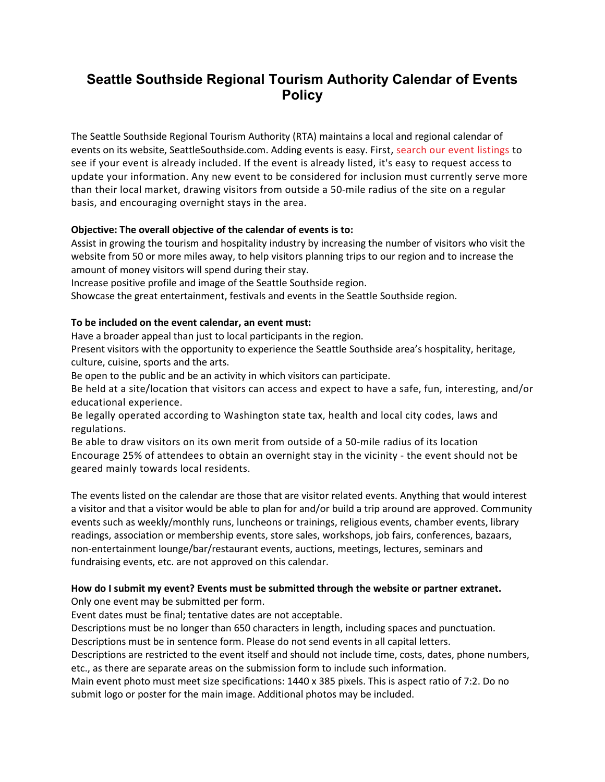## **Seattle Southside Regional Tourism Authority Calendar of Events Policy**

The Seattle Southside Regional Tourism Authority (RTA) maintains a local and regional calendar of events on its website, SeattleSouthside.com. Adding events is easy. First, [search our event listings](https://www.seattlesouthside.com/play/events/) to see if your event is already included. If the event is already listed, it's easy to request access to update your information. Any new event to be considered for inclusion must currently serve more than their local market, drawing visitors from outside a 50-mile radius of the site on a regular basis, and encouraging overnight stays in the area.

## **Objective: The overall objective of the calendar of events is to:**

Assist in growing the tourism and hospitality industry by increasing the number of visitors who visit the website from 50 or more miles away, to help visitors planning trips to our region and to increase the amount of money visitors will spend during their stay.

Increase positive profile and image of the Seattle Southside region.

Showcase the great entertainment, festivals and events in the Seattle Southside region.

## **To be included on the event calendar, an event must:**

Have a broader appeal than just to local participants in the region.

Present visitors with the opportunity to experience the Seattle Southside area's hospitality, heritage, culture, cuisine, sports and the arts.

Be open to the public and be an activity in which visitors can participate.

Be held at a site/location that visitors can access and expect to have a safe, fun, interesting, and/or educational experience.

Be legally operated according to Washington state tax, health and local city codes, laws and regulations.

Be able to draw visitors on its own merit from outside of a 50-mile radius of its location Encourage 25% of attendees to obtain an overnight stay in the vicinity - the event should not be geared mainly towards local residents.

The events listed on the calendar are those that are visitor related events. Anything that would interest a visitor and that a visitor would be able to plan for and/or build a trip around are approved. Community events such as weekly/monthly runs, luncheons or trainings, religious events, chamber events, library readings, association or membership events, store sales, workshops, job fairs, conferences, bazaars, non-entertainment lounge/bar/restaurant events, auctions, meetings, lectures, seminars and fundraising events, etc. are not approved on this calendar.

## **How do I submit my event? Events must be submitted through the website or partner extranet.**

Only one event may be submitted per form.

Event dates must be final; tentative dates are not acceptable.

Descriptions must be no longer than 650 characters in length, including spaces and punctuation.

Descriptions must be in sentence form. Please do not send events in all capital letters.

Descriptions are restricted to the event itself and should not include time, costs, dates, phone numbers, etc., as there are separate areas on the submission form to include such information.

Main event photo must meet size specifications: 1440 x 385 pixels. This is aspect ratio of 7:2. Do no submit logo or poster for the main image. Additional photos may be included.